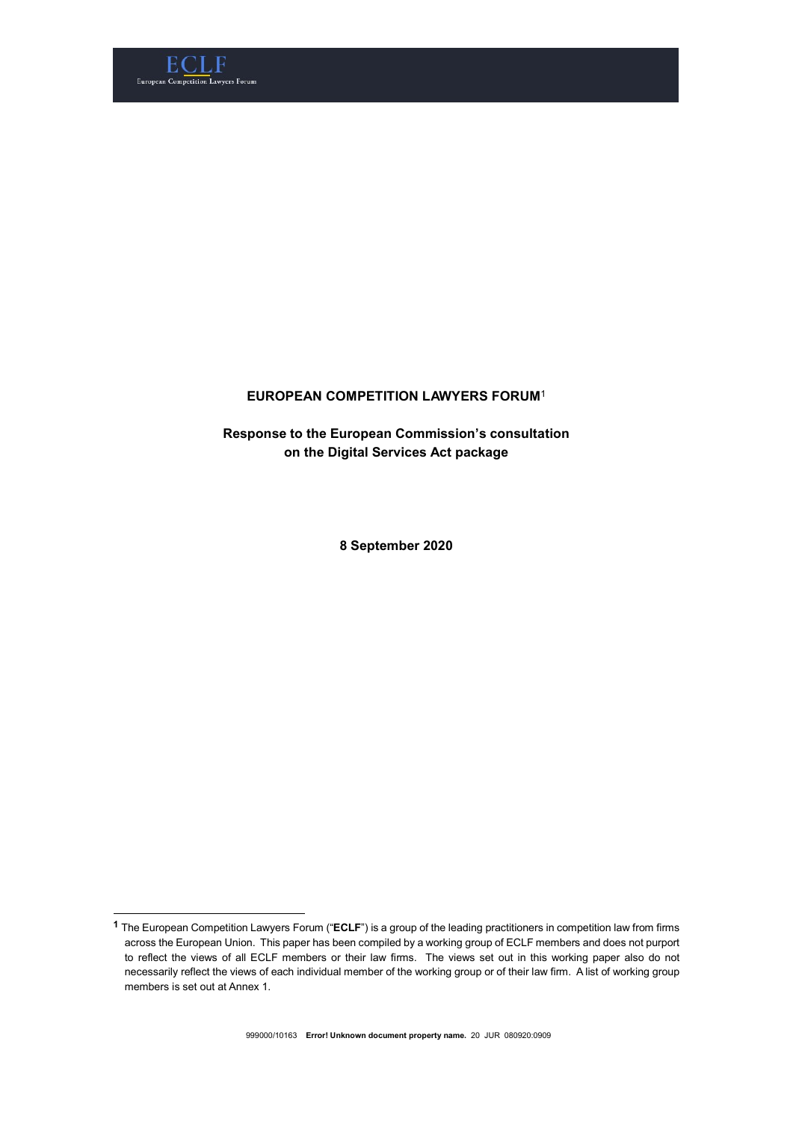

-

# EUROPEAN COMPETITION LAWYERS FORUM<sup>1</sup>

Response to the European Commission's consultation on the Digital Services Act package

8 September 2020

 $1$  The European Competition Lawyers Forum (" $\sf ECLF$ ") is a group of the leading practitioners in competition law from firms across the European Union. This paper has been compiled by a working group of ECLF members and does not purport to reflect the views of all ECLF members or their law firms. The views set out in this working paper also do not necessarily reflect the views of each individual member of the working group or of their law firm. A list of working group members is set out at Annex 1.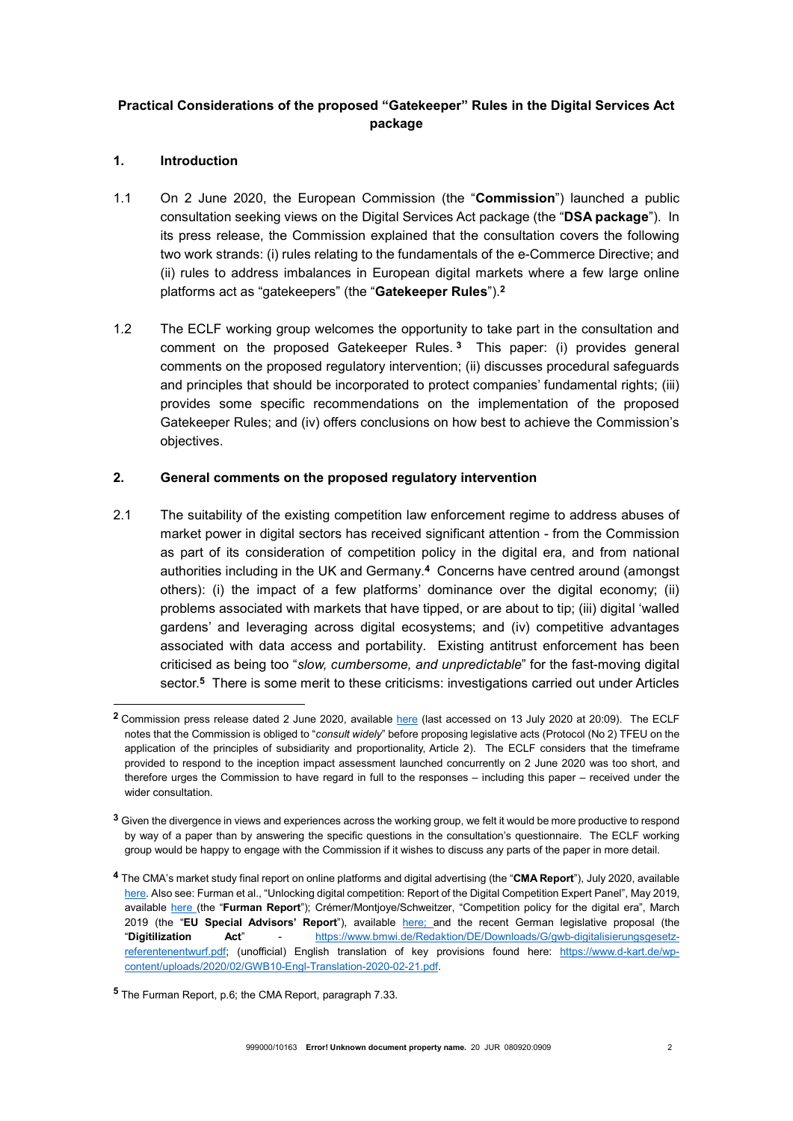# Practical Considerations of the proposed "Gatekeeper" Rules in the Digital Services Act package

# 1. Introduction

-

- 1.1 On 2 June 2020, the European Commission (the "Commission") launched a public consultation seeking views on the Digital Services Act package (the "DSA package"). In its press release, the Commission explained that the consultation covers the following two work strands: (i) rules relating to the fundamentals of the e-Commerce Directive; and (ii) rules to address imbalances in European digital markets where a few large online platforms act as "gatekeepers" (the "Gatekeeper Rules").<sup>2</sup>
- 1.2 The ECLF working group welcomes the opportunity to take part in the consultation and comment on the proposed Gatekeeper Rules.<sup>3</sup> This paper: (i) provides general comments on the proposed regulatory intervention; (ii) discusses procedural safeguards and principles that should be incorporated to protect companies' fundamental rights; (iii) provides some specific recommendations on the implementation of the proposed Gatekeeper Rules; and (iv) offers conclusions on how best to achieve the Commission's objectives.

# 2. General comments on the proposed regulatory intervention

2.1 The suitability of the existing competition law enforcement regime to address abuses of market power in digital sectors has received significant attention - from the Commission as part of its consideration of competition policy in the digital era, and from national authorities including in the UK and Germany.<sup>4</sup> Concerns have centred around (amongst others): (i) the impact of a few platforms' dominance over the digital economy; (ii) problems associated with markets that have tipped, or are about to tip; (iii) digital 'walled gardens' and leveraging across digital ecosystems; and (iv) competitive advantages associated with data access and portability. Existing antitrust enforcement has been criticised as being too "slow, cumbersome, and unpredictable" for the fast-moving digital sector.<sup>5</sup> There is some merit to these criticisms: investigations carried out under Articles

<sup>&</sup>lt;sup>2</sup> Commission press release dated 2 June 2020, available here (last accessed on 13 July 2020 at 20:09). The ECLF notes that the Commission is obliged to "consult widely" before proposing legislative acts (Protocol (No 2) TFEU on the application of the principles of subsidiarity and proportionality, Article 2). The ECLF considers that the timeframe provided to respond to the inception impact assessment launched concurrently on 2 June 2020 was too short, and therefore urges the Commission to have regard in full to the responses – including this paper – received under the wider consultation.

<sup>&</sup>lt;sup>3</sup> Given the divergence in views and experiences across the working group, we felt it would be more productive to respond by way of a paper than by answering the specific questions in the consultation's questionnaire. The ECLF working group would be happy to engage with the Commission if it wishes to discuss any parts of the paper in more detail.

<sup>4</sup> The CMA's market study final report on online platforms and digital advertising (the "CMA Report"), July 2020, available here. Also see: Furman et al., "Unlocking digital competition: Report of the Digital Competition Expert Panel", May 2019, available here (the "Furman Report"); Crémer/Montjoye/Schweitzer, "Competition policy for the digital era", March 2019 (the "EU Special Advisors' Report"), available here; and the recent German legislative proposal (the "Digitilization Act" - https://www.bmwi.de/Redaktion/DE/Downloads/G/gwb-digitalisierungsgesetzreferentenentwurf.pdf; (unofficial) English translation of key provisions found here: https://www.d-kart.de/wpcontent/uploads/2020/02/GWB10-Engl-Translation-2020-02-21.pdf.

<sup>5</sup> The Furman Report, p.6; the CMA Report, paragraph 7.33.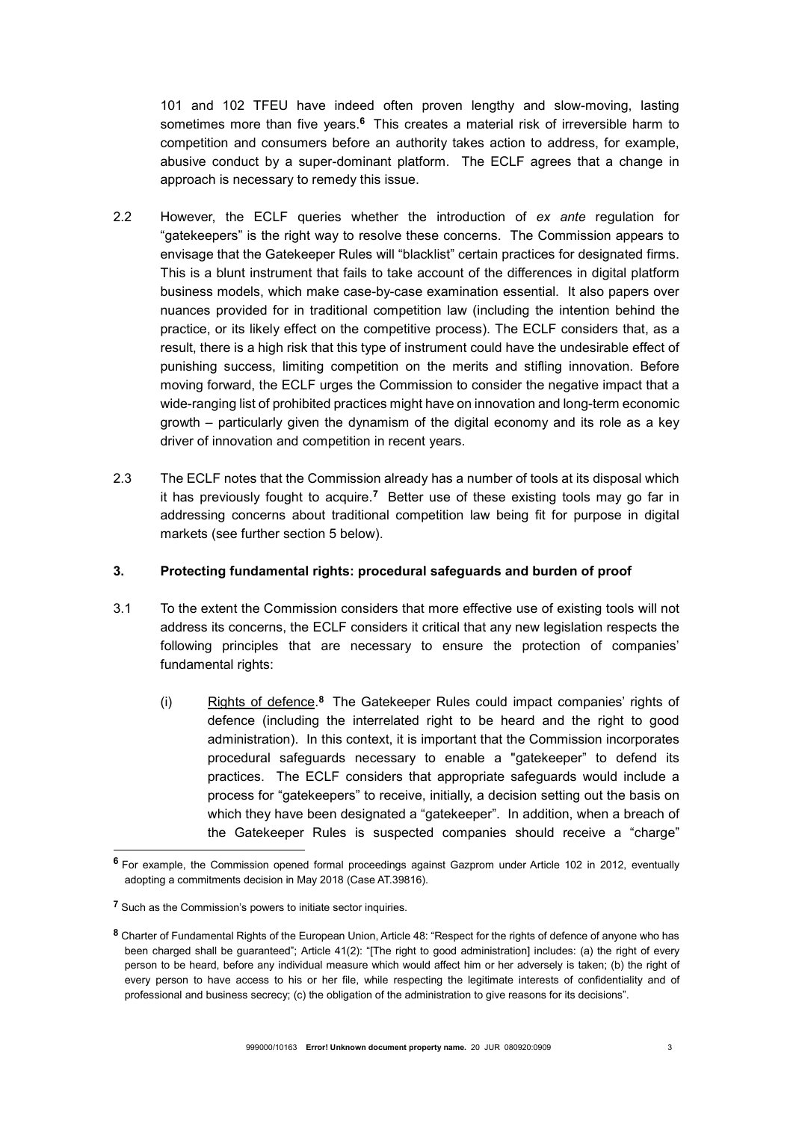101 and 102 TFEU have indeed often proven lengthy and slow-moving, lasting sometimes more than five years.<sup>6</sup> This creates a material risk of irreversible harm to competition and consumers before an authority takes action to address, for example, abusive conduct by a super-dominant platform. The ECLF agrees that a change in approach is necessary to remedy this issue.

- 2.2 However, the ECLF queries whether the introduction of ex ante regulation for "gatekeepers" is the right way to resolve these concerns. The Commission appears to envisage that the Gatekeeper Rules will "blacklist" certain practices for designated firms. This is a blunt instrument that fails to take account of the differences in digital platform business models, which make case-by-case examination essential. It also papers over nuances provided for in traditional competition law (including the intention behind the practice, or its likely effect on the competitive process). The ECLF considers that, as a result, there is a high risk that this type of instrument could have the undesirable effect of punishing success, limiting competition on the merits and stifling innovation. Before moving forward, the ECLF urges the Commission to consider the negative impact that a wide-ranging list of prohibited practices might have on innovation and long-term economic growth – particularly given the dynamism of the digital economy and its role as a key driver of innovation and competition in recent years.
- 2.3 The ECLF notes that the Commission already has a number of tools at its disposal which it has previously fought to acquire.<sup>7</sup> Better use of these existing tools may go far in addressing concerns about traditional competition law being fit for purpose in digital markets (see further section 5 below).

# 3. Protecting fundamental rights: procedural safeguards and burden of proof

- 3.1 To the extent the Commission considers that more effective use of existing tools will not address its concerns, the ECLF considers it critical that any new legislation respects the following principles that are necessary to ensure the protection of companies' fundamental rights:
	- (i) Rights of defence.<sup>8</sup> The Gatekeeper Rules could impact companies' rights of defence (including the interrelated right to be heard and the right to good administration). In this context, it is important that the Commission incorporates procedural safeguards necessary to enable a "gatekeeper" to defend its practices. The ECLF considers that appropriate safeguards would include a process for "gatekeepers" to receive, initially, a decision setting out the basis on which they have been designated a "gatekeeper". In addition, when a breach of the Gatekeeper Rules is suspected companies should receive a "charge"

<sup>6</sup> For example, the Commission opened formal proceedings against Gazprom under Article 102 in 2012, eventually adopting a commitments decision in May 2018 (Case AT.39816).

<sup>&</sup>lt;sup>7</sup> Such as the Commission's powers to initiate sector inquiries.

<sup>8</sup> Charter of Fundamental Rights of the European Union, Article 48: "Respect for the rights of defence of anyone who has been charged shall be guaranteed"; Article 41(2): "[The right to good administration] includes: (a) the right of every person to be heard, before any individual measure which would affect him or her adversely is taken; (b) the right of every person to have access to his or her file, while respecting the legitimate interests of confidentiality and of professional and business secrecy; (c) the obligation of the administration to give reasons for its decisions".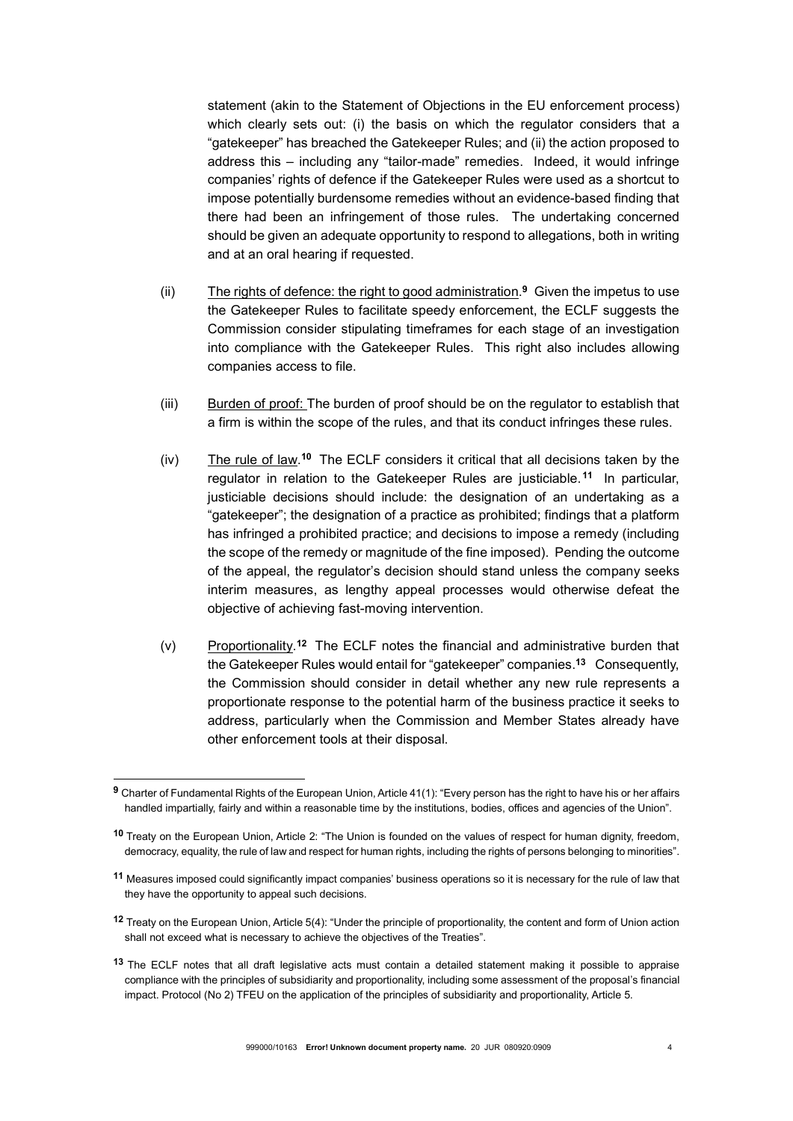statement (akin to the Statement of Objections in the EU enforcement process) which clearly sets out: (i) the basis on which the regulator considers that a "gatekeeper" has breached the Gatekeeper Rules; and (ii) the action proposed to address this – including any "tailor-made" remedies. Indeed, it would infringe companies' rights of defence if the Gatekeeper Rules were used as a shortcut to impose potentially burdensome remedies without an evidence-based finding that there had been an infringement of those rules. The undertaking concerned should be given an adequate opportunity to respond to allegations, both in writing and at an oral hearing if requested.

- (ii) The rights of defence: the right to good administration.<sup>9</sup> Given the impetus to use the Gatekeeper Rules to facilitate speedy enforcement, the ECLF suggests the Commission consider stipulating timeframes for each stage of an investigation into compliance with the Gatekeeper Rules. This right also includes allowing companies access to file.
- (iii) Burden of proof: The burden of proof should be on the regulator to establish that a firm is within the scope of the rules, and that its conduct infringes these rules.
- (iv) The rule of law.<sup>10</sup> The ECLF considers it critical that all decisions taken by the regulator in relation to the Gatekeeper Rules are justiciable.<sup>11</sup> In particular, justiciable decisions should include: the designation of an undertaking as a "gatekeeper"; the designation of a practice as prohibited; findings that a platform has infringed a prohibited practice; and decisions to impose a remedy (including the scope of the remedy or magnitude of the fine imposed). Pending the outcome of the appeal, the regulator's decision should stand unless the company seeks interim measures, as lengthy appeal processes would otherwise defeat the objective of achieving fast-moving intervention.
- (v) Proportionality.<sup>12</sup> The ECLF notes the financial and administrative burden that the Gatekeeper Rules would entail for "gatekeeper" companies.<sup>13</sup> Consequently, the Commission should consider in detail whether any new rule represents a proportionate response to the potential harm of the business practice it seeks to address, particularly when the Commission and Member States already have other enforcement tools at their disposal.

 $\,9$  Charter of Fundamental Rights of the European Union, Article 41(1): "Every person has the right to have his or her affairs handled impartially, fairly and within a reasonable time by the institutions, bodies, offices and agencies of the Union".

<sup>10</sup> Treaty on the European Union, Article 2: "The Union is founded on the values of respect for human dignity, freedom, democracy, equality, the rule of law and respect for human rights, including the rights of persons belonging to minorities".

<sup>11</sup> Measures imposed could significantly impact companies' business operations so it is necessary for the rule of law that they have the opportunity to appeal such decisions.

<sup>12</sup> Treaty on the European Union, Article 5(4): "Under the principle of proportionality, the content and form of Union action shall not exceed what is necessary to achieve the objectives of the Treaties".

<sup>&</sup>lt;sup>13</sup> The ECLF notes that all draft legislative acts must contain a detailed statement making it possible to appraise compliance with the principles of subsidiarity and proportionality, including some assessment of the proposal's financial impact. Protocol (No 2) TFEU on the application of the principles of subsidiarity and proportionality, Article 5.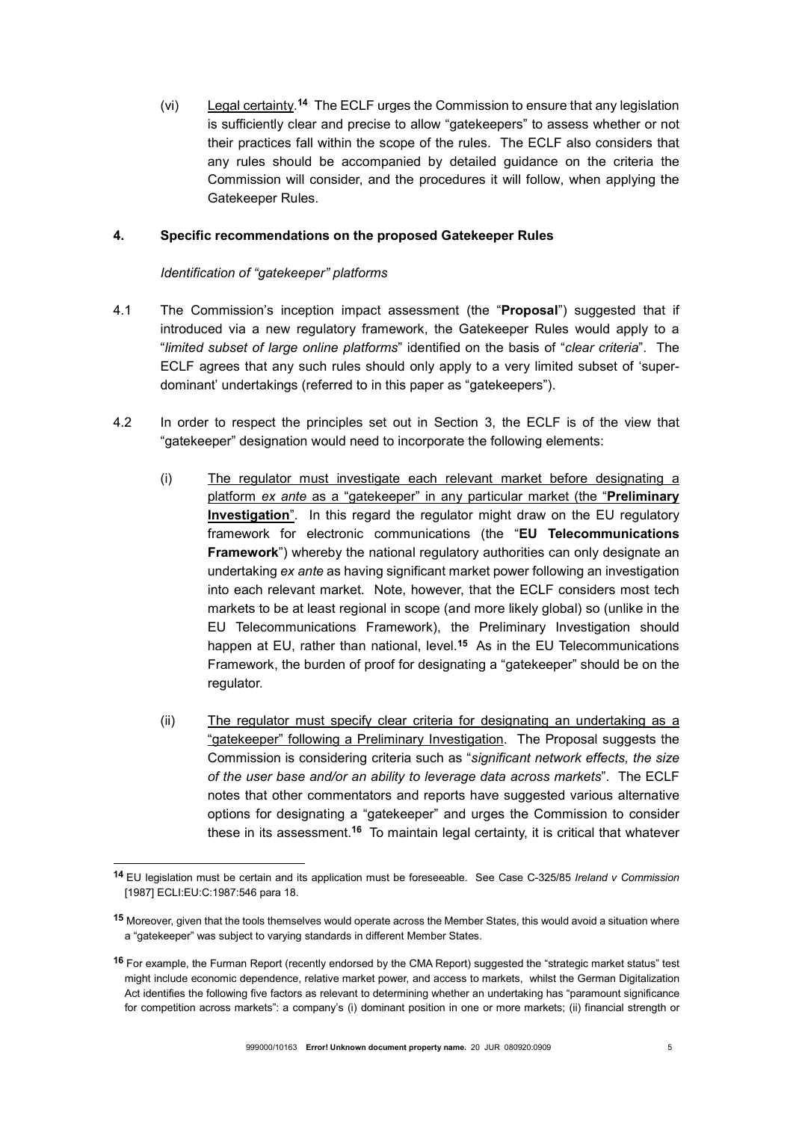(vi) Legal certainty.<sup>14</sup> The ECLF urges the Commission to ensure that any legislation is sufficiently clear and precise to allow "gatekeepers" to assess whether or not their practices fall within the scope of the rules. The ECLF also considers that any rules should be accompanied by detailed guidance on the criteria the Commission will consider, and the procedures it will follow, when applying the Gatekeeper Rules.

### 4. Specific recommendations on the proposed Gatekeeper Rules

#### Identification of "gatekeeper" platforms

- 4.1 The Commission's inception impact assessment (the "Proposal") suggested that if introduced via a new regulatory framework, the Gatekeeper Rules would apply to a "limited subset of large online platforms" identified on the basis of "clear criteria". The ECLF agrees that any such rules should only apply to a very limited subset of 'superdominant' undertakings (referred to in this paper as "gatekeepers").
- 4.2 In order to respect the principles set out in Section 3, the ECLF is of the view that "gatekeeper" designation would need to incorporate the following elements:
	- (i) The regulator must investigate each relevant market before designating a platform ex ante as a "gatekeeper" in any particular market (the "**Preliminary** Investigation". In this regard the regulator might draw on the EU regulatory framework for electronic communications (the "EU Telecommunications Framework") whereby the national regulatory authorities can only designate an undertaking ex ante as having significant market power following an investigation into each relevant market. Note, however, that the ECLF considers most tech markets to be at least regional in scope (and more likely global) so (unlike in the EU Telecommunications Framework), the Preliminary Investigation should happen at EU, rather than national, level.<sup>15</sup> As in the EU Telecommunications Framework, the burden of proof for designating a "gatekeeper" should be on the regulator.
	- (ii) The regulator must specify clear criteria for designating an undertaking as a "gatekeeper" following a Preliminary Investigation. The Proposal suggests the Commission is considering criteria such as "significant network effects, the size of the user base and/or an ability to leverage data across markets". The ECLF notes that other commentators and reports have suggested various alternative options for designating a "gatekeeper" and urges the Commission to consider these in its assessment.<sup>16</sup> To maintain legal certainty, it is critical that whatever

<sup>14</sup> EU legislation must be certain and its application must be foreseeable. See Case C-325/85 Ireland v Commission [1987] ECLI:EU:C:1987:546 para 18.

<sup>15</sup> Moreover, given that the tools themselves would operate across the Member States, this would avoid a situation where a "gatekeeper" was subject to varying standards in different Member States.

<sup>16</sup> For example, the Furman Report (recently endorsed by the CMA Report) suggested the "strategic market status" test might include economic dependence, relative market power, and access to markets, whilst the German Digitalization Act identifies the following five factors as relevant to determining whether an undertaking has "paramount significance for competition across markets": a company's (i) dominant position in one or more markets; (ii) financial strength or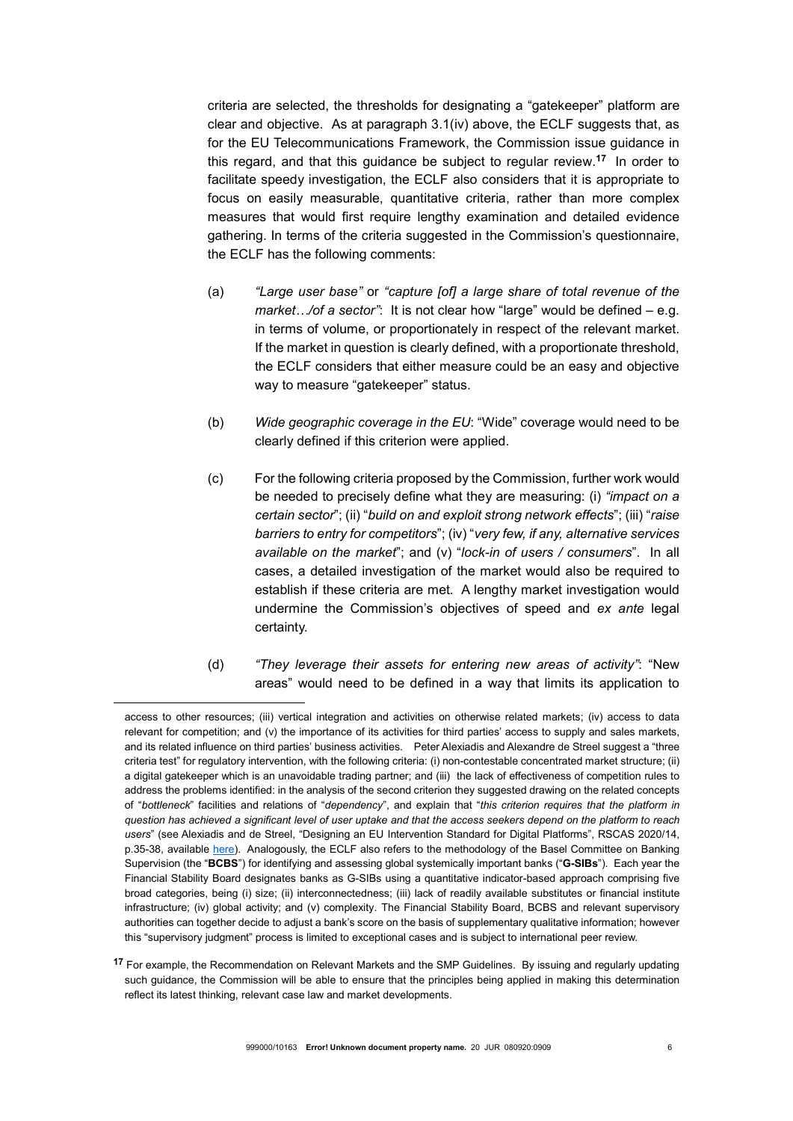criteria are selected, the thresholds for designating a "gatekeeper" platform are clear and objective. As at paragraph 3.1(iv) above, the ECLF suggests that, as for the EU Telecommunications Framework, the Commission issue guidance in this regard, and that this guidance be subject to regular review.<sup>17</sup> In order to facilitate speedy investigation, the ECLF also considers that it is appropriate to focus on easily measurable, quantitative criteria, rather than more complex measures that would first require lengthy examination and detailed evidence gathering. In terms of the criteria suggested in the Commission's questionnaire, the ECLF has the following comments:

- (a) "Large user base" or "capture [of] a large share of total revenue of the market.../of a sector": It is not clear how "large" would be defined – e.g. in terms of volume, or proportionately in respect of the relevant market. If the market in question is clearly defined, with a proportionate threshold, the ECLF considers that either measure could be an easy and objective way to measure "gatekeeper" status.
- (b) Wide geographic coverage in the EU: "Wide" coverage would need to be clearly defined if this criterion were applied.
- (c) For the following criteria proposed by the Commission, further work would be needed to precisely define what they are measuring: (i) "impact on a certain sector"; (ii) "build on and exploit strong network effects"; (iii) "raise barriers to entry for competitors"; (iv) "very few, if any, alternative services available on the market"; and (v) "lock-in of users / consumers". In all cases, a detailed investigation of the market would also be required to establish if these criteria are met. A lengthy market investigation would undermine the Commission's objectives of speed and ex ante legal certainty.
- (d) "They leverage their assets for entering new areas of activity": "New areas" would need to be defined in a way that limits its application to

access to other resources; (iii) vertical integration and activities on otherwise related markets; (iv) access to data relevant for competition; and (v) the importance of its activities for third parties' access to supply and sales markets, and its related influence on third parties' business activities. Peter Alexiadis and Alexandre de Streel suggest a "three criteria test" for regulatory intervention, with the following criteria: (i) non-contestable concentrated market structure; (ii) a digital gatekeeper which is an unavoidable trading partner; and (iii) the lack of effectiveness of competition rules to address the problems identified: in the analysis of the second criterion they suggested drawing on the related concepts of "bottleneck" facilities and relations of "dependency", and explain that "this criterion requires that the platform in question has achieved a significant level of user uptake and that the access seekers depend on the platform to reach users" (see Alexiadis and de Streel, "Designing an EU Intervention Standard for Digital Platforms", RSCAS 2020/14, p.35-38, available here). Analogously, the ECLF also refers to the methodology of the Basel Committee on Banking Supervision (the "BCBS") for identifying and assessing global systemically important banks ("G-SIBs"). Each year the Financial Stability Board designates banks as G-SIBs using a quantitative indicator-based approach comprising five broad categories, being (i) size; (ii) interconnectedness; (iii) lack of readily available substitutes or financial institute infrastructure; (iv) global activity; and (v) complexity. The Financial Stability Board, BCBS and relevant supervisory authorities can together decide to adjust a bank's score on the basis of supplementary qualitative information; however this "supervisory judgment" process is limited to exceptional cases and is subject to international peer review.

<sup>17</sup> For example, the Recommendation on Relevant Markets and the SMP Guidelines. By issuing and regularly updating such guidance, the Commission will be able to ensure that the principles being applied in making this determination reflect its latest thinking, relevant case law and market developments.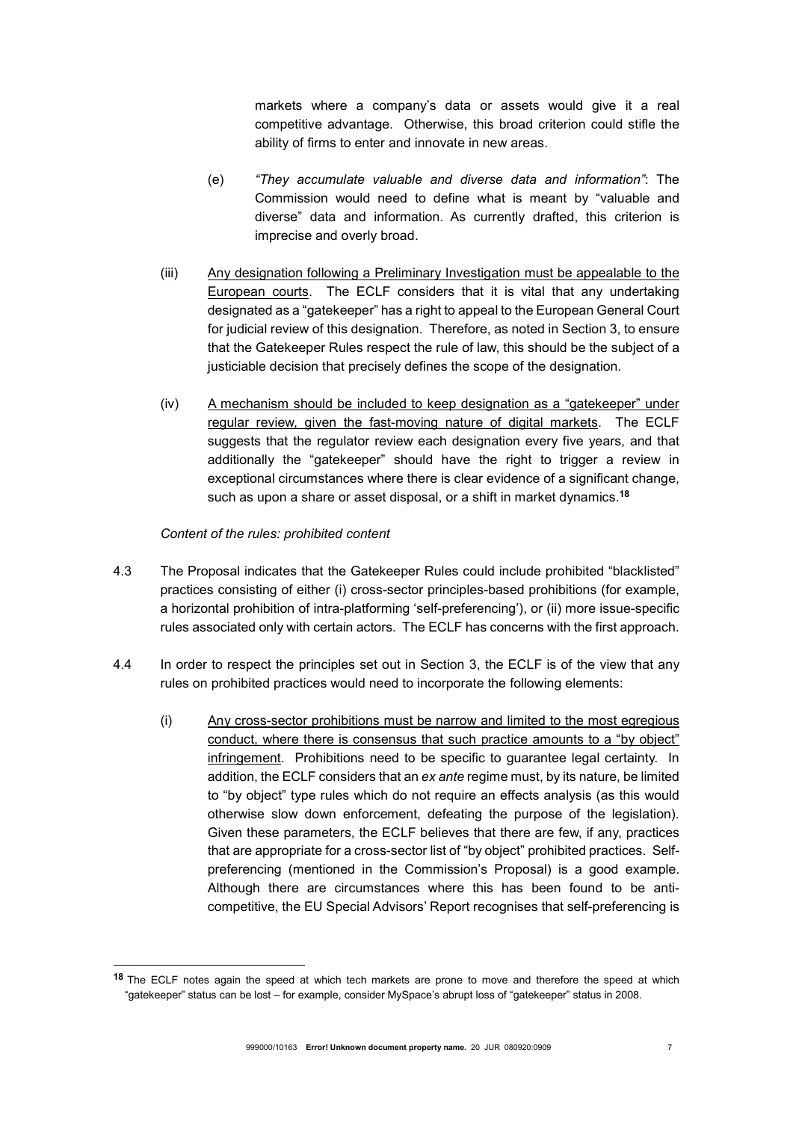markets where a company's data or assets would give it a real competitive advantage. Otherwise, this broad criterion could stifle the ability of firms to enter and innovate in new areas.

- (e) "They accumulate valuable and diverse data and information": The Commission would need to define what is meant by "valuable and diverse" data and information. As currently drafted, this criterion is imprecise and overly broad.
- (iii) Any designation following a Preliminary Investigation must be appealable to the European courts. The ECLF considers that it is vital that any undertaking designated as a "gatekeeper" has a right to appeal to the European General Court for judicial review of this designation. Therefore, as noted in Section 3, to ensure that the Gatekeeper Rules respect the rule of law, this should be the subject of a justiciable decision that precisely defines the scope of the designation.
- (iv) A mechanism should be included to keep designation as a "gatekeeper" under regular review, given the fast-moving nature of digital markets. The ECLF suggests that the regulator review each designation every five years, and that additionally the "gatekeeper" should have the right to trigger a review in exceptional circumstances where there is clear evidence of a significant change, such as upon a share or asset disposal, or a shift in market dynamics.<sup>18</sup>

# Content of the rules: prohibited content

- 4.3 The Proposal indicates that the Gatekeeper Rules could include prohibited "blacklisted" practices consisting of either (i) cross-sector principles-based prohibitions (for example, a horizontal prohibition of intra-platforming 'self-preferencing'), or (ii) more issue-specific rules associated only with certain actors. The ECLF has concerns with the first approach.
- 4.4 In order to respect the principles set out in Section 3, the ECLF is of the view that any rules on prohibited practices would need to incorporate the following elements:
	- (i) Any cross-sector prohibitions must be narrow and limited to the most egregious conduct, where there is consensus that such practice amounts to a "by object" infringement. Prohibitions need to be specific to guarantee legal certainty. In addition, the ECLF considers that an ex ante regime must, by its nature, be limited to "by object" type rules which do not require an effects analysis (as this would otherwise slow down enforcement, defeating the purpose of the legislation). Given these parameters, the ECLF believes that there are few, if any, practices that are appropriate for a cross-sector list of "by object" prohibited practices. Selfpreferencing (mentioned in the Commission's Proposal) is a good example. Although there are circumstances where this has been found to be anticompetitive, the EU Special Advisors' Report recognises that self-preferencing is

<sup>18</sup> The ECLF notes again the speed at which tech markets are prone to move and therefore the speed at which "gatekeeper" status can be lost – for example, consider MySpace's abrupt loss of "gatekeeper" status in 2008.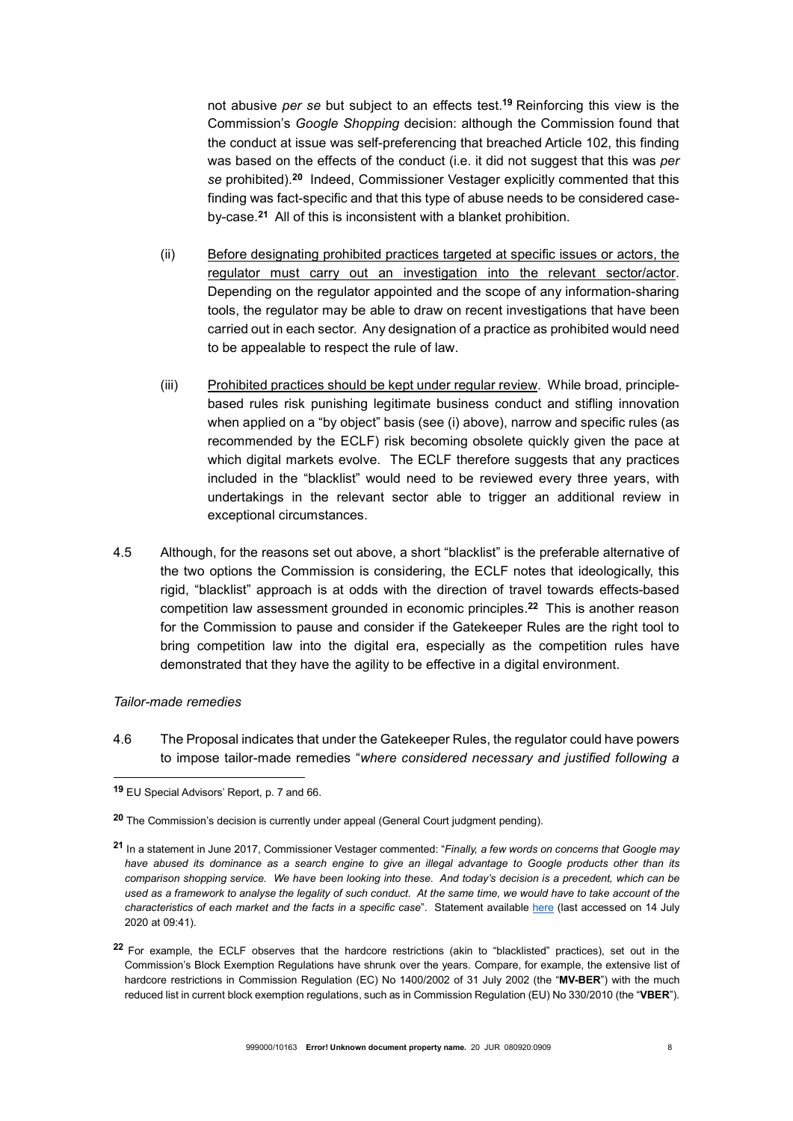not abusive per se but subject to an effects test.<sup>19</sup> Reinforcing this view is the Commission's Google Shopping decision: although the Commission found that the conduct at issue was self-preferencing that breached Article 102, this finding was based on the effects of the conduct (i.e. it did not suggest that this was per se prohibited).<sup>20</sup> Indeed, Commissioner Vestager explicitly commented that this finding was fact-specific and that this type of abuse needs to be considered caseby-case.<sup>21</sup> All of this is inconsistent with a blanket prohibition.

- (ii) Before designating prohibited practices targeted at specific issues or actors, the regulator must carry out an investigation into the relevant sector/actor. Depending on the regulator appointed and the scope of any information-sharing tools, the regulator may be able to draw on recent investigations that have been carried out in each sector. Any designation of a practice as prohibited would need to be appealable to respect the rule of law.
- (iii) Prohibited practices should be kept under regular review. While broad, principlebased rules risk punishing legitimate business conduct and stifling innovation when applied on a "by object" basis (see (i) above), narrow and specific rules (as recommended by the ECLF) risk becoming obsolete quickly given the pace at which digital markets evolve. The ECLF therefore suggests that any practices included in the "blacklist" would need to be reviewed every three years, with undertakings in the relevant sector able to trigger an additional review in exceptional circumstances.
- 4.5 Although, for the reasons set out above, a short "blacklist" is the preferable alternative of the two options the Commission is considering, the ECLF notes that ideologically, this rigid, "blacklist" approach is at odds with the direction of travel towards effects-based competition law assessment grounded in economic principles.<sup>22</sup> This is another reason for the Commission to pause and consider if the Gatekeeper Rules are the right tool to bring competition law into the digital era, especially as the competition rules have demonstrated that they have the agility to be effective in a digital environment.

#### Tailor-made remedies

-

4.6 The Proposal indicates that under the Gatekeeper Rules, the regulator could have powers to impose tailor-made remedies "where considered necessary and justified following a

<sup>19</sup> EU Special Advisors' Report, p. 7 and 66.

<sup>20</sup> The Commission's decision is currently under appeal (General Court judgment pending).

<sup>21</sup> In a statement in June 2017, Commissioner Vestager commented: "Finally, a few words on concerns that Google may have abused its dominance as a search engine to give an illegal advantage to Google products other than its comparison shopping service. We have been looking into these. And today's decision is a precedent, which can be used as a framework to analyse the legality of such conduct. At the same time, we would have to take account of the characteristics of each market and the facts in a specific case". Statement available here (last accessed on 14 July 2020 at 09:41).

<sup>22</sup> For example, the ECLF observes that the hardcore restrictions (akin to "blacklisted" practices), set out in the Commission's Block Exemption Regulations have shrunk over the years. Compare, for example, the extensive list of hardcore restrictions in Commission Regulation (EC) No 1400/2002 of 31 July 2002 (the "MV-BER") with the much reduced list in current block exemption regulations, such as in Commission Regulation (EU) No 330/2010 (the "VBER").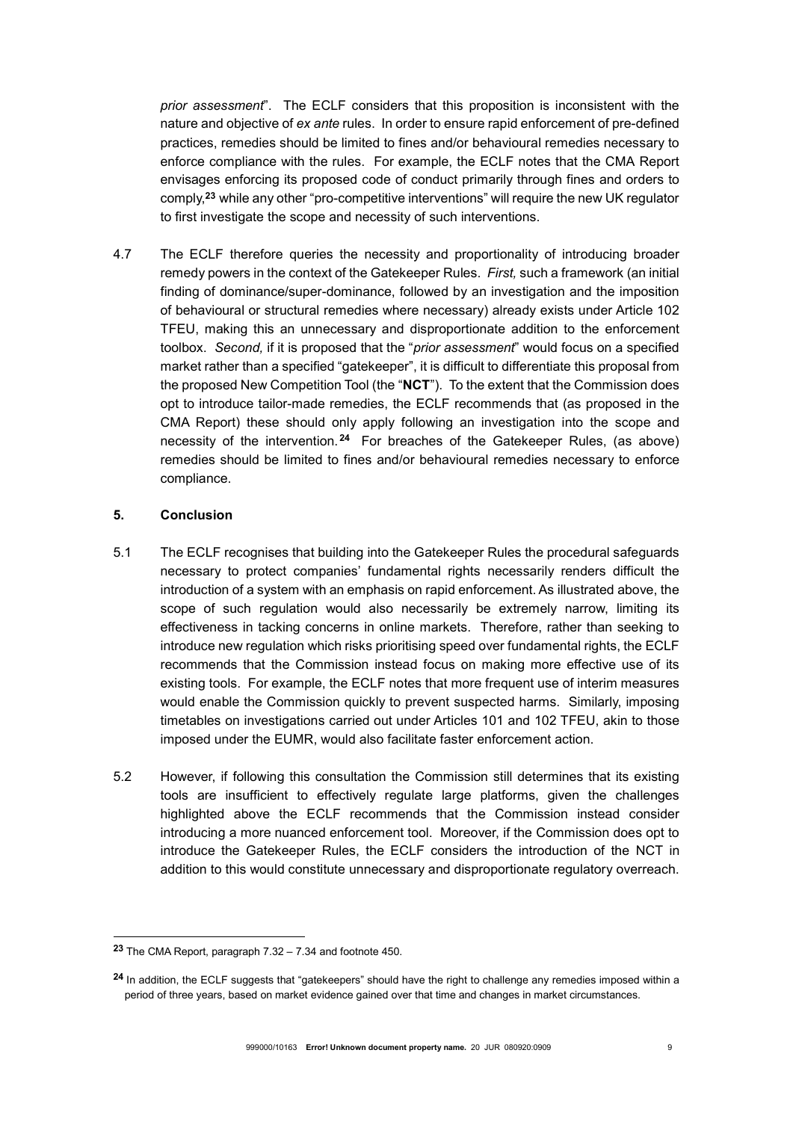prior assessment". The ECLF considers that this proposition is inconsistent with the nature and objective of ex ante rules. In order to ensure rapid enforcement of pre-defined practices, remedies should be limited to fines and/or behavioural remedies necessary to enforce compliance with the rules. For example, the ECLF notes that the CMA Report envisages enforcing its proposed code of conduct primarily through fines and orders to comply,<sup>23</sup> while any other "pro-competitive interventions" will require the new UK regulator to first investigate the scope and necessity of such interventions.

4.7 The ECLF therefore queries the necessity and proportionality of introducing broader remedy powers in the context of the Gatekeeper Rules. First, such a framework (an initial finding of dominance/super-dominance, followed by an investigation and the imposition of behavioural or structural remedies where necessary) already exists under Article 102 TFEU, making this an unnecessary and disproportionate addition to the enforcement toolbox. Second, if it is proposed that the "*prior assessment*" would focus on a specified market rather than a specified "gatekeeper", it is difficult to differentiate this proposal from the proposed New Competition Tool (the "NCT"). To the extent that the Commission does opt to introduce tailor-made remedies, the ECLF recommends that (as proposed in the CMA Report) these should only apply following an investigation into the scope and necessity of the intervention. <sup>24</sup> For breaches of the Gatekeeper Rules, (as above) remedies should be limited to fines and/or behavioural remedies necessary to enforce compliance.

### 5. Conclusion

- 5.1 The ECLF recognises that building into the Gatekeeper Rules the procedural safeguards necessary to protect companies' fundamental rights necessarily renders difficult the introduction of a system with an emphasis on rapid enforcement. As illustrated above, the scope of such regulation would also necessarily be extremely narrow, limiting its effectiveness in tacking concerns in online markets. Therefore, rather than seeking to introduce new regulation which risks prioritising speed over fundamental rights, the ECLF recommends that the Commission instead focus on making more effective use of its existing tools. For example, the ECLF notes that more frequent use of interim measures would enable the Commission quickly to prevent suspected harms. Similarly, imposing timetables on investigations carried out under Articles 101 and 102 TFEU, akin to those imposed under the EUMR, would also facilitate faster enforcement action.
- 5.2 However, if following this consultation the Commission still determines that its existing tools are insufficient to effectively regulate large platforms, given the challenges highlighted above the ECLF recommends that the Commission instead consider introducing a more nuanced enforcement tool. Moreover, if the Commission does opt to introduce the Gatekeeper Rules, the ECLF considers the introduction of the NCT in addition to this would constitute unnecessary and disproportionate regulatory overreach.

<sup>23</sup> The CMA Report, paragraph  $7.32 - 7.34$  and footnote 450.

<sup>&</sup>lt;sup>24</sup> In addition, the ECLF suggests that "gatekeepers" should have the right to challenge any remedies imposed within a period of three years, based on market evidence gained over that time and changes in market circumstances.